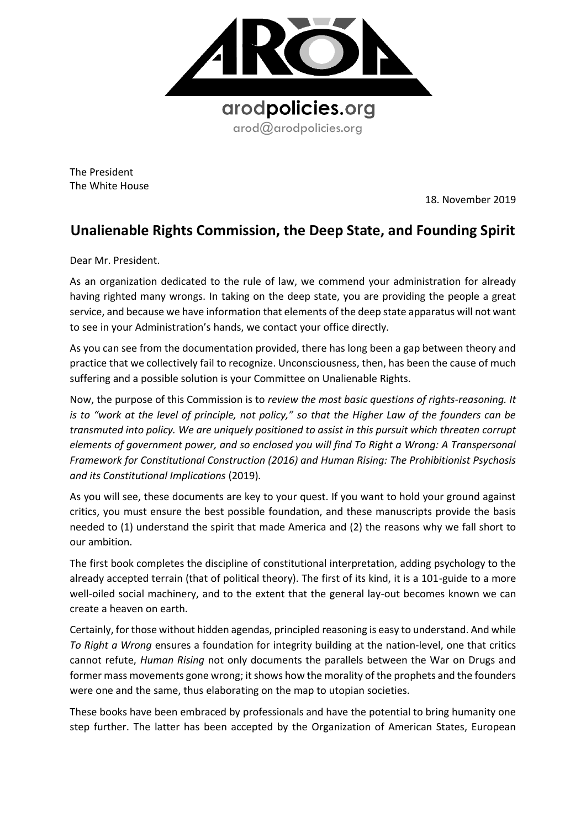

The President The White House

18. November 2019

## **Unalienable Rights Commission, the Deep State, and Founding Spirit**

Dear Mr. President.

As an organization dedicated to the rule of law, we commend your administration for already having righted many wrongs. In taking on the deep state, you are providing the people a great service, and because we have information that elements of the deep state apparatus will not want to see in your Administration's hands, we contact your office directly.

As you can see from the documentation provided, there has long been a gap between theory and practice that we collectively fail to recognize. Unconsciousness, then, has been the cause of much suffering and a possible solution is your Committee on Unalienable Rights.

Now, the purpose of this Commission is to *review the most basic questions of rights-reasoning. It is to "work at the level of principle, not policy," so that the Higher Law of the founders can be transmuted into policy. We are uniquely positioned to assist in this pursuit which threaten corrupt elements of government power, and so enclosed you will find To Right a Wrong: A Transpersonal Framework for Constitutional Construction (2016) and Human Rising: The Prohibitionist Psychosis and its Constitutional Implications* (2019)*.* 

As you will see, these documents are key to your quest. If you want to hold your ground against critics, you must ensure the best possible foundation, and these manuscripts provide the basis needed to (1) understand the spirit that made America and (2) the reasons why we fall short to our ambition.

The first book completes the discipline of constitutional interpretation, adding psychology to the already accepted terrain (that of political theory). The first of its kind, it is a 101-guide to a more well-oiled social machinery, and to the extent that the general lay-out becomes known we can create a heaven on earth.

Certainly, for those without hidden agendas, principled reasoning is easy to understand. And while *To Right a Wrong* ensures a foundation for integrity building at the nation-level, one that critics cannot refute, *Human Rising* not only documents the parallels between the War on Drugs and former mass movements gone wrong; it shows how the morality of the prophets and the founders were one and the same, thus elaborating on the map to utopian societies.

These books have been embraced by professionals and have the potential to bring humanity one step further. The latter has been accepted by the Organization of American States, European